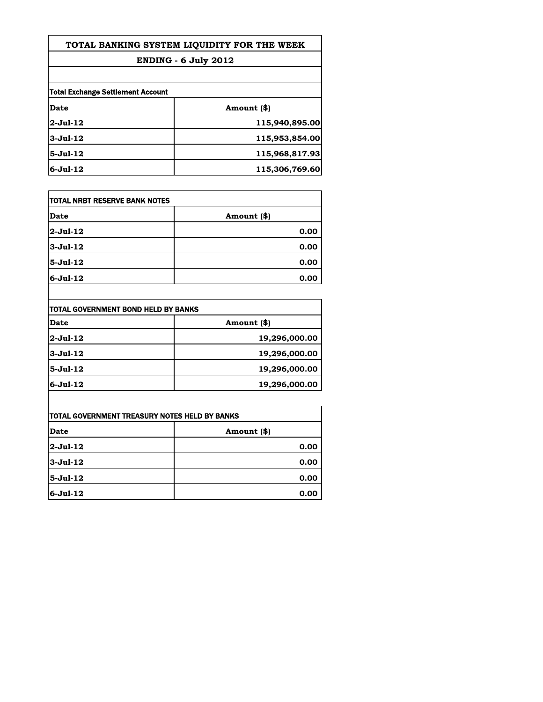## **TOTAL BANKING SYSTEM LIQUIDITY FOR THE WEEK**

### **ENDING - 6 July 2012**

| Total Exchange Settlement Account |                |  |
|-----------------------------------|----------------|--|
| Date                              | Amount (\$)    |  |
| $2$ -Jul-12                       | 115,940,895.00 |  |
| $3$ -Jul-12                       | 115,953,854.00 |  |
| $5 -$ Jul $-12$                   | 115,968,817.93 |  |
| $6$ -Jul-12                       | 115,306,769.60 |  |

| <b>TOTAL NRBT RESERVE BANK NOTES</b> |             |  |
|--------------------------------------|-------------|--|
| Date                                 | Amount (\$) |  |
| $2$ -Jul-12                          | 0.00        |  |
| 3-Jul-12                             | 0.00        |  |
| $5-Jul-12$                           | 0.00        |  |
| $6 - Jul - 12$                       | 0.00        |  |

| TOTAL GOVERNMENT BOND HELD BY BANKS |               |  |
|-------------------------------------|---------------|--|
| Date                                | Amount (\$)   |  |
| 2-Jul-12                            | 19,296,000.00 |  |
| $3$ -Jul-12                         | 19,296,000.00 |  |
| $5 -$ Jul $-12$                     | 19,296,000.00 |  |
| $6$ -Jul-12                         | 19,296,000.00 |  |

 $\overline{\phantom{a}}$ 

| <b>TOTAL GOVERNMENT TREASURY NOTES HELD BY BANKS</b> |             |
|------------------------------------------------------|-------------|
| Date                                                 | Amount (\$) |
| $2$ -Jul-12                                          | 0.00        |
| $3-Jul-12$                                           | 0.00        |
| 5-Jul-12                                             | 0.00        |
| $6$ -Jul-12                                          | 0.00        |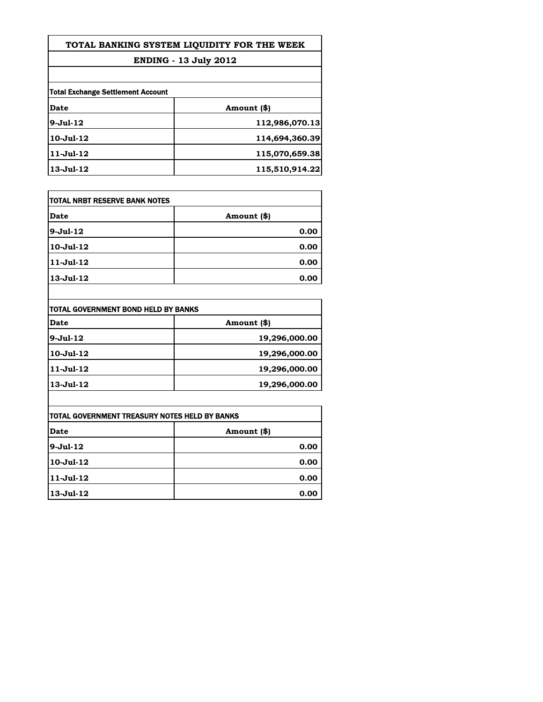# **TOTAL BANKING SYSTEM LIQUIDITY FOR THE WEEK**

### **ENDING - 13 July 2012**

| <b>Total Exchange Settlement Account</b> |                |  |
|------------------------------------------|----------------|--|
| Date                                     | Amount (\$)    |  |
| $9-Jul-12$                               | 112,986,070.13 |  |
| $10 -$ Jul $-12$                         | 114,694,360.39 |  |
| $11-Jul-12$                              | 115,070,659.38 |  |
| $13$ -Jul- $12$                          | 115,510,914.22 |  |

| <b>TOTAL NRBT RESERVE BANK NOTES</b> |             |  |
|--------------------------------------|-------------|--|
| Date                                 | Amount (\$) |  |
| $9 - Jul - 12$                       | 0.00        |  |
| 10-Jul-12                            | 0.00        |  |
| 11-Jul-12                            | 0.00        |  |
| 13-Jul-12                            | 0.00        |  |

| TOTAL GOVERNMENT BOND HELD BY BANKS |               |  |
|-------------------------------------|---------------|--|
| Date                                | Amount (\$)   |  |
| $9$ -Jul-12                         | 19,296,000.00 |  |
| $10 -$ Jul $-12$                    | 19,296,000.00 |  |
| $11-Jul-12$                         | 19,296,000.00 |  |
| $13$ -Jul- $12$                     | 19,296,000.00 |  |

| TOTAL GOVERNMENT TREASURY NOTES HELD BY BANKS |             |
|-----------------------------------------------|-------------|
| Date                                          | Amount (\$) |
| $9-Jul-12$                                    | 0.00        |
| $10 -$ Jul $-12$                              | 0.00        |
| $11-Jul-12$                                   | 0.00        |
| $13$ -Jul- $12$                               | 0.00        |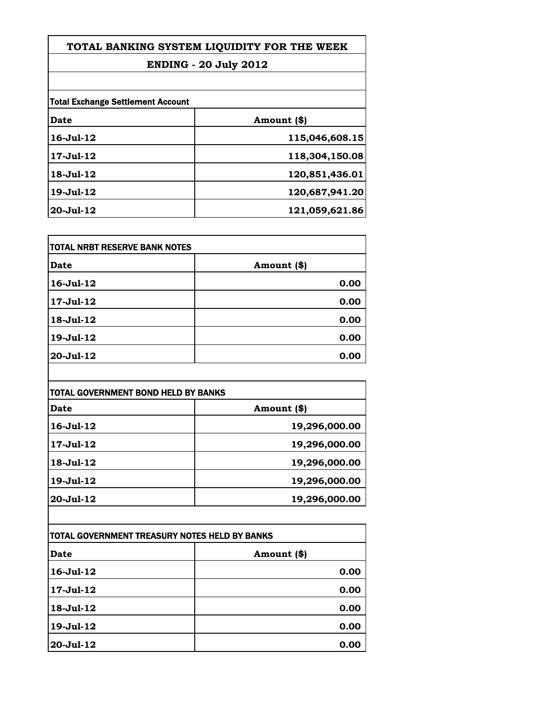| TOTAL BANKING SYSTEM LIQUIDITY FOR THE WEEK |  |  |
|---------------------------------------------|--|--|
|                                             |  |  |

### **ENDING - 20 July 2012**

| <b>Total Exchange Settlement Account</b> |                |
|------------------------------------------|----------------|
| Date                                     | Amount (\$)    |
| $16 -$ Jul $-12$                         | 115,046,608.15 |
| 17-Jul-12                                | 118,304,150.08 |
| 18-Jul-12                                | 120,851,436.01 |
| 19-Jul-12                                | 120,687,941.20 |
| 20-Jul-12                                | 121,059,621.86 |

| TOTAL NRBT RESERVE BANK NOTES |             |
|-------------------------------|-------------|
| Date                          | Amount (\$) |
| 16-Jul-12                     | 0.00        |
| 17-Jul-12                     | 0.00        |
| 18-Jul-12                     | 0.00        |
| 19-Jul-12                     | 0.00        |
| 20-Jul-12                     | 0.00        |

| TOTAL GOVERNMENT BOND HELD BY BANKS |               |  |
|-------------------------------------|---------------|--|
| Date                                | Amount (\$)   |  |
| $16 - Jul - 12$                     | 19,296,000.00 |  |
| 17-Jul-12                           | 19,296,000.00 |  |
| $18 - Jul - 12$                     | 19,296,000.00 |  |
| $19 - Jul - 12$                     | 19,296,000.00 |  |
| $20 -$ Jul $-12$                    | 19,296,000.00 |  |

| TOTAL GOVERNMENT TREASURY NOTES HELD BY BANKS |             |  |
|-----------------------------------------------|-------------|--|
| Date                                          | Amount (\$) |  |
| $16$ -Jul- $12$                               | 0.00        |  |
| 17-Jul-12                                     | 0.00        |  |
| 18-Jul-12                                     | 0.00        |  |
| 19-Jul-12                                     | 0.00        |  |
| 20-Jul-12                                     | 0.00        |  |